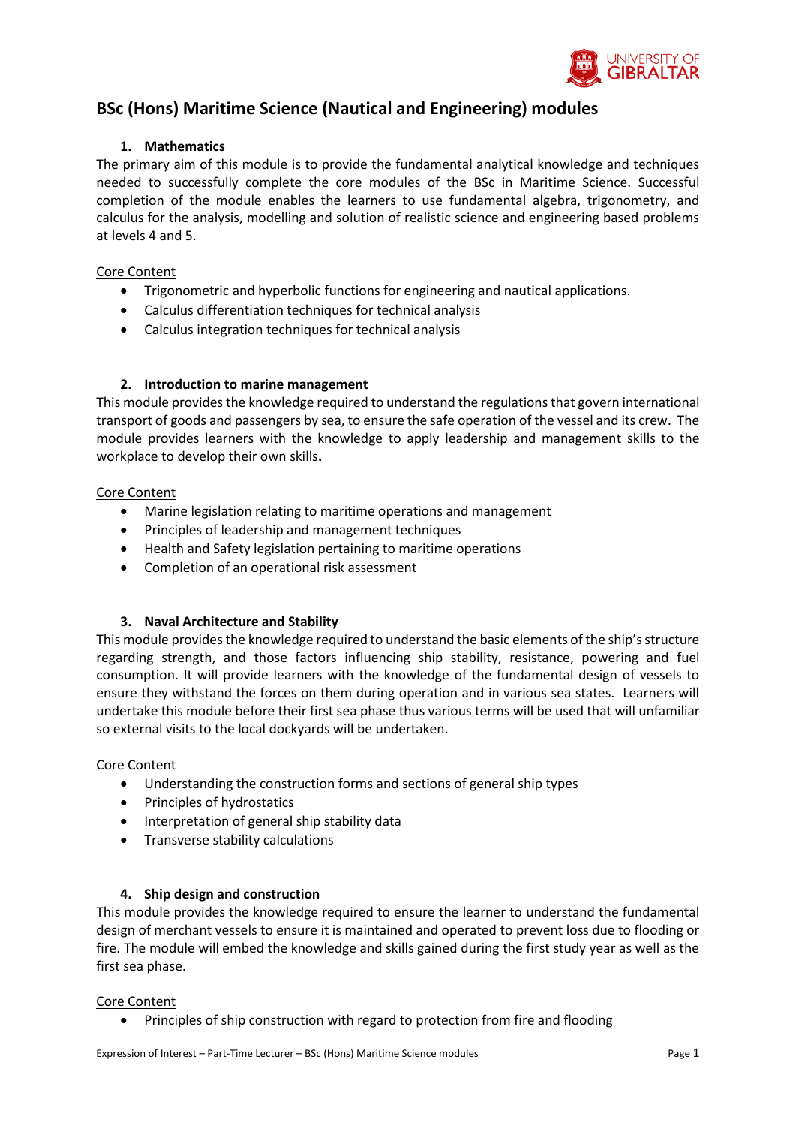

# **BSc (Hons) Maritime Science (Nautical and Engineering) modules**

## **1. Mathematics**

The primary aim of this module is to provide the fundamental analytical knowledge and techniques needed to successfully complete the core modules of the BSc in Maritime Science. Successful completion of the module enables the learners to use fundamental algebra, trigonometry, and calculus for the analysis, modelling and solution of realistic science and engineering based problems at levels 4 and 5.

## Core Content

- Trigonometric and hyperbolic functions for engineering and nautical applications.
- Calculus differentiation techniques for technical analysis
- Calculus integration techniques for technical analysis

# **2. Introduction to marine management**

This module provides the knowledge required to understand the regulations that govern international transport of goods and passengers by sea, to ensure the safe operation of the vessel and its crew. The module provides learners with the knowledge to apply leadership and management skills to the workplace to develop their own skills**.**

## Core Content

- Marine legislation relating to maritime operations and management
- Principles of leadership and management techniques
- Health and Safety legislation pertaining to maritime operations
- Completion of an operational risk assessment

# **3. Naval Architecture and Stability**

This module provides the knowledge required to understand the basic elements of the ship's structure regarding strength, and those factors influencing ship stability, resistance, powering and fuel consumption. It will provide learners with the knowledge of the fundamental design of vessels to ensure they withstand the forces on them during operation and in various sea states. Learners will undertake this module before their first sea phase thus various terms will be used that will unfamiliar so external visits to the local dockyards will be undertaken.

#### Core Content

- Understanding the construction forms and sections of general ship types
- Principles of hydrostatics
- Interpretation of general ship stability data
- Transverse stability calculations

# **4. Ship design and construction**

This module provides the knowledge required to ensure the learner to understand the fundamental design of merchant vessels to ensure it is maintained and operated to prevent loss due to flooding or fire. The module will embed the knowledge and skills gained during the first study year as well as the first sea phase.

#### Core Content

Principles of ship construction with regard to protection from fire and flooding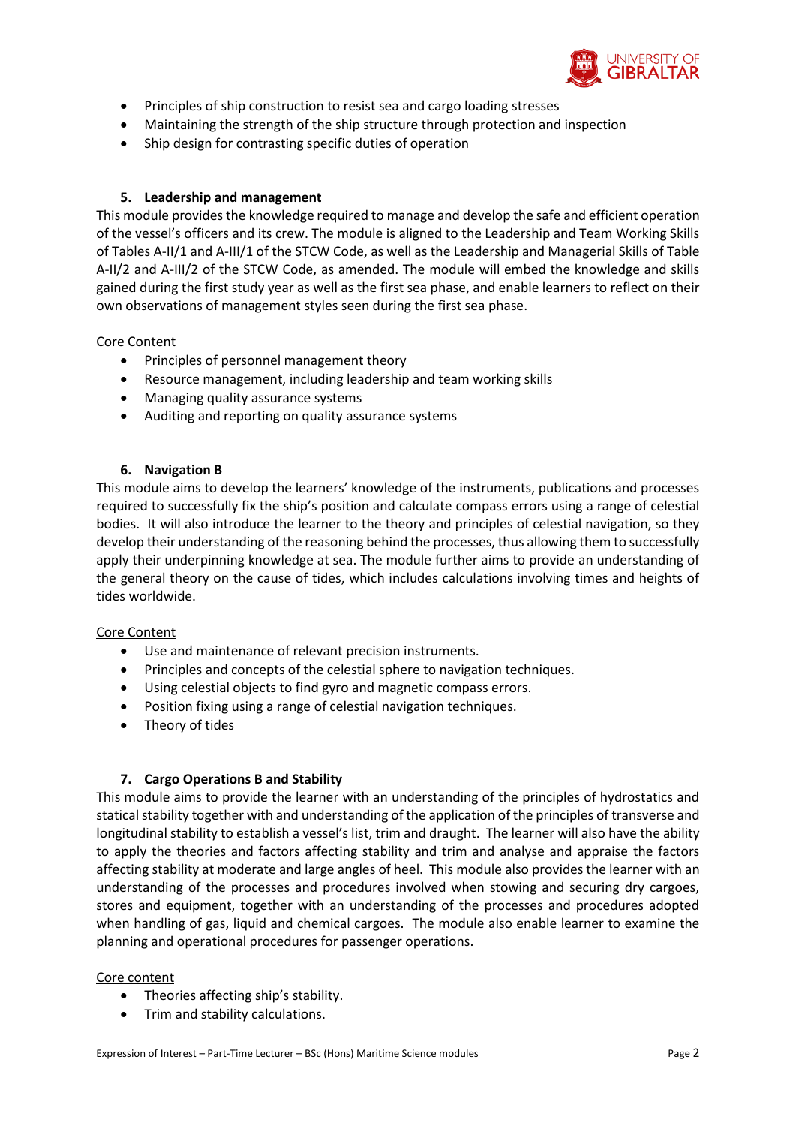

- Principles of ship construction to resist sea and cargo loading stresses
- Maintaining the strength of the ship structure through protection and inspection
- Ship design for contrasting specific duties of operation

## **5. Leadership and management**

This module provides the knowledge required to manage and develop the safe and efficient operation of the vessel's officers and its crew. The module is aligned to the Leadership and Team Working Skills of Tables A-II/1 and A-III/1 of the STCW Code, as well as the Leadership and Managerial Skills of Table A-II/2 and A-III/2 of the STCW Code, as amended. The module will embed the knowledge and skills gained during the first study year as well as the first sea phase, and enable learners to reflect on their own observations of management styles seen during the first sea phase.

## Core Content

- Principles of personnel management theory
- Resource management, including leadership and team working skills
- Managing quality assurance systems
- Auditing and reporting on quality assurance systems

## **6. Navigation B**

This module aims to develop the learners' knowledge of the instruments, publications and processes required to successfully fix the ship's position and calculate compass errors using a range of celestial bodies. It will also introduce the learner to the theory and principles of celestial navigation, so they develop their understanding of the reasoning behind the processes, thus allowing them to successfully apply their underpinning knowledge at sea. The module further aims to provide an understanding of the general theory on the cause of tides, which includes calculations involving times and heights of tides worldwide.

#### Core Content

- Use and maintenance of relevant precision instruments.
- Principles and concepts of the celestial sphere to navigation techniques.
- Using celestial objects to find gyro and magnetic compass errors.
- Position fixing using a range of celestial navigation techniques.
- Theory of tides

# **7. Cargo Operations B and Stability**

This module aims to provide the learner with an understanding of the principles of hydrostatics and statical stability together with and understanding of the application of the principles of transverse and longitudinal stability to establish a vessel's list, trim and draught. The learner will also have the ability to apply the theories and factors affecting stability and trim and analyse and appraise the factors affecting stability at moderate and large angles of heel. This module also provides the learner with an understanding of the processes and procedures involved when stowing and securing dry cargoes, stores and equipment, together with an understanding of the processes and procedures adopted when handling of gas, liquid and chemical cargoes. The module also enable learner to examine the planning and operational procedures for passenger operations.

#### Core content

- Theories affecting ship's stability.
- Trim and stability calculations.